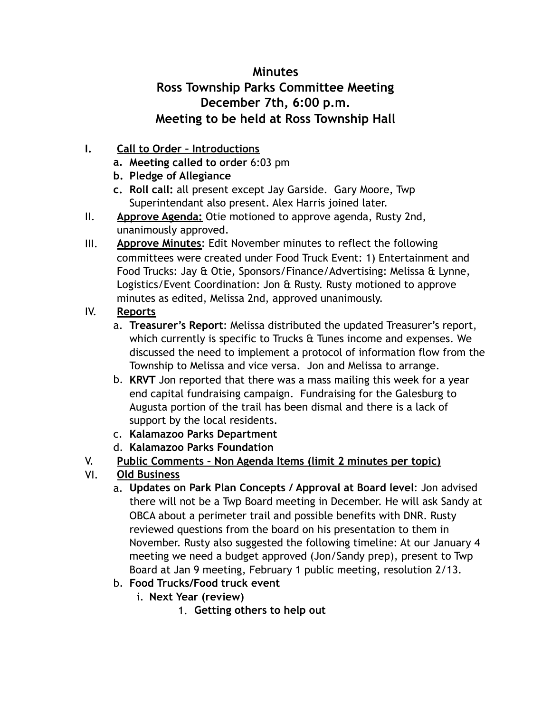## **Minutes Ross Township Parks Committee Meeting December 7th, 6:00 p.m. Meeting to be held at Ross Township Hall**

- **I. Call to Order Introductions** 
	- **a. Meeting called to order** 6:03 pm
	- **b. Pledge of Allegiance**
	- **c. Roll call:** all present except Jay Garside. Gary Moore, Twp Superintendant also present. Alex Harris joined later.
- II. **Approve Agenda:** Otie motioned to approve agenda, Rusty 2nd, unanimously approved.
- III. **Approve Minutes**: Edit November minutes to reflect the following committees were created under Food Truck Event: 1) Entertainment and Food Trucks: Jay & Otie, Sponsors/Finance/Advertising: Melissa & Lynne, Logistics/Event Coordination: Jon & Rusty. Rusty motioned to approve minutes as edited, Melissa 2nd, approved unanimously.

## IV. **Reports**

- a. **Treasurer's Report**: Melissa distributed the updated Treasurer's report, which currently is specific to Trucks & Tunes income and expenses. We discussed the need to implement a protocol of information flow from the Township to Melissa and vice versa. Jon and Melissa to arrange.
- b. **KRVT** Jon reported that there was a mass mailing this week for a year end capital fundraising campaign. Fundraising for the Galesburg to Augusta portion of the trail has been dismal and there is a lack of support by the local residents.
- c. **Kalamazoo Parks Department**
- d. **Kalamazoo Parks Foundation**
- V. **Public Comments Non Agenda Items (limit 2 minutes per topic)**
- VI. **Old Business**
	- a. **Updates on Park Plan Concepts / Approval at Board level**: Jon advised there will not be a Twp Board meeting in December. He will ask Sandy at OBCA about a perimeter trail and possible benefits with DNR. Rusty reviewed questions from the board on his presentation to them in November. Rusty also suggested the following timeline: At our January 4 meeting we need a budget approved (Jon/Sandy prep), present to Twp Board at Jan 9 meeting, February 1 public meeting, resolution 2/13.
	- b. **Food Trucks/Food truck event**
		- i. **Next Year (review)**
			- 1. **Getting others to help out**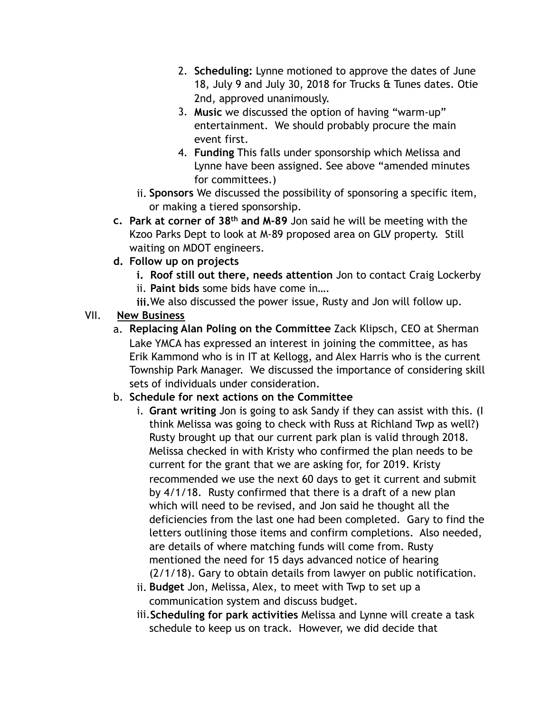- 2. **Scheduling:** Lynne motioned to approve the dates of June 18, July 9 and July 30, 2018 for Trucks & Tunes dates. Otie 2nd, approved unanimously.
- 3. **Music** we discussed the option of having "warm-up" entertainment. We should probably procure the main event first.
- 4. **Funding** This falls under sponsorship which Melissa and Lynne have been assigned. See above "amended minutes for committees.)
- ii. **Sponsors** We discussed the possibility of sponsoring a specific item, or making a tiered sponsorship.
- **c. Park at corner of 38th and M-89** Jon said he will be meeting with the Kzoo Parks Dept to look at M-89 proposed area on GLV property. Still waiting on MDOT engineers.
- **d. Follow up on projects** 
	- **i. Roof still out there, needs attention** Jon to contact Craig Lockerby
	- ii. **Paint bids** some bids have come in….
	- **iii.**We also discussed the power issue, Rusty and Jon will follow up.

## VII. **New Business**

a. **Replacing Alan Poling on the Committee** Zack Klipsch, CEO at Sherman Lake YMCA has expressed an interest in joining the committee, as has Erik Kammond who is in IT at Kellogg, and Alex Harris who is the current Township Park Manager. We discussed the importance of considering skill sets of individuals under consideration.

## b. **Schedule for next actions on the Committee**

- i. **Grant writing** Jon is going to ask Sandy if they can assist with this. (I think Melissa was going to check with Russ at Richland Twp as well?) Rusty brought up that our current park plan is valid through 2018. Melissa checked in with Kristy who confirmed the plan needs to be current for the grant that we are asking for, for 2019. Kristy recommended we use the next 60 days to get it current and submit by 4/1/18. Rusty confirmed that there is a draft of a new plan which will need to be revised, and Jon said he thought all the deficiencies from the last one had been completed. Gary to find the letters outlining those items and confirm completions. Also needed, are details of where matching funds will come from. Rusty mentioned the need for 15 days advanced notice of hearing (2/1/18). Gary to obtain details from lawyer on public notification.
- ii. **Budget** Jon, Melissa, Alex, to meet with Twp to set up a communication system and discuss budget.
- iii.**Scheduling for park activities** Melissa and Lynne will create a task schedule to keep us on track. However, we did decide that